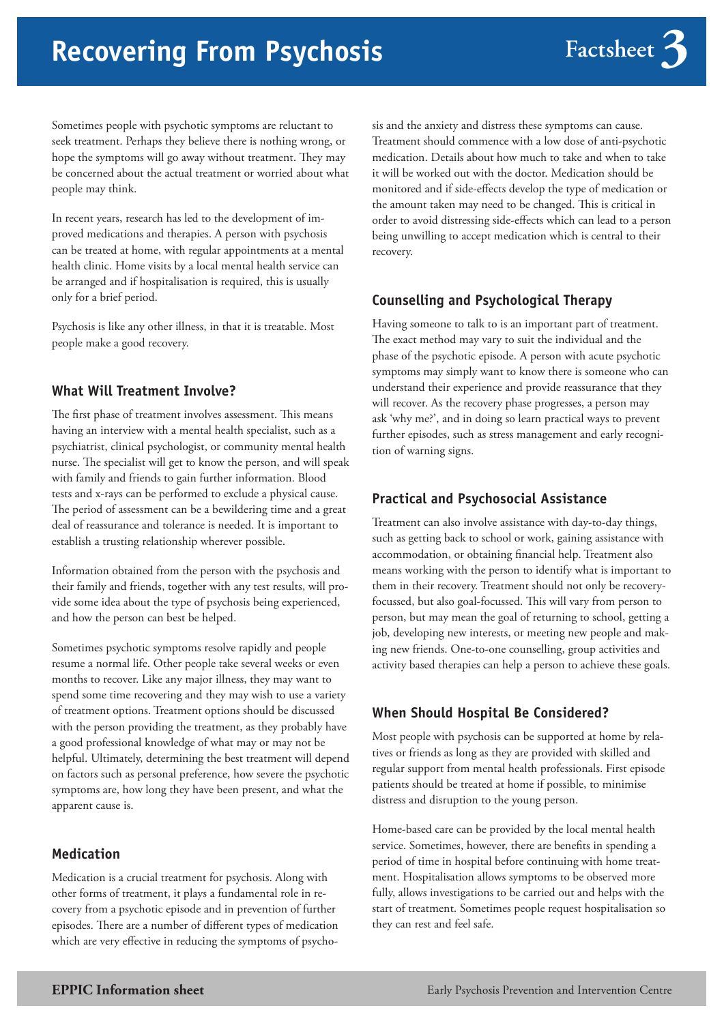# **Recovering From Psychosis**

Sometimes people with psychotic symptoms are reluctant to seek treatment. Perhaps they believe there is nothing wrong, or hope the symptoms will go away without treatment. They may be concerned about the actual treatment or worried about what people may think.

In recent years, research has led to the development of improved medications and therapies. A person with psychosis can be treated at home, with regular appointments at a mental health clinic. Home visits by a local mental health service can be arranged and if hospitalisation is required, this is usually only for a brief period.

Psychosis is like any other illness, in that it is treatable. Most people make a good recovery.

## **What Will Treatment Involve?**

The first phase of treatment involves assessment. This means having an interview with a mental health specialist, such as a psychiatrist, clinical psychologist, or community mental health nurse. The specialist will get to know the person, and will speak with family and friends to gain further information. Blood tests and x-rays can be performed to exclude a physical cause. The period of assessment can be a bewildering time and a great deal of reassurance and tolerance is needed. It is important to establish a trusting relationship wherever possible.

Information obtained from the person with the psychosis and their family and friends, together with any test results, will provide some idea about the type of psychosis being experienced, and how the person can best be helped.

Sometimes psychotic symptoms resolve rapidly and people resume a normal life. Other people take several weeks or even months to recover. Like any major illness, they may want to spend some time recovering and they may wish to use a variety of treatment options. Treatment options should be discussed with the person providing the treatment, as they probably have a good professional knowledge of what may or may not be helpful. Ultimately, determining the best treatment will depend on factors such as personal preference, how severe the psychotic symptoms are, how long they have been present, and what the apparent cause is.

#### **Medication**

Medication is a crucial treatment for psychosis. Along with other forms of treatment, it plays a fundamental role in recovery from a psychotic episode and in prevention of further episodes. There are a number of different types of medication which are very effective in reducing the symptoms of psycho-

sis and the anxiety and distress these symptoms can cause. Treatment should commence with a low dose of anti-psychotic medication. Details about how much to take and when to take it will be worked out with the doctor. Medication should be monitored and if side-effects develop the type of medication or the amount taken may need to be changed. This is critical in order to avoid distressing side-effects which can lead to a person being unwilling to accept medication which is central to their recovery.

#### **Counselling and Psychological Therapy**

Having someone to talk to is an important part of treatment. The exact method may vary to suit the individual and the phase of the psychotic episode. A person with acute psychotic symptoms may simply want to know there is someone who can understand their experience and provide reassurance that they will recover. As the recovery phase progresses, a person may ask 'why me?', and in doing so learn practical ways to prevent further episodes, such as stress management and early recognition of warning signs.

#### **Practical and Psychosocial Assistance**

Treatment can also involve assistance with day-to-day things, such as getting back to school or work, gaining assistance with accommodation, or obtaining financial help. Treatment also means working with the person to identify what is important to them in their recovery. Treatment should not only be recoveryfocussed, but also goal-focussed. This will vary from person to person, but may mean the goal of returning to school, getting a job, developing new interests, or meeting new people and making new friends. One-to-one counselling, group activities and activity based therapies can help a person to achieve these goals.

## **When Should Hospital Be Considered?**

Most people with psychosis can be supported at home by relatives or friends as long as they are provided with skilled and regular support from mental health professionals. First episode patients should be treated at home if possible, to minimise distress and disruption to the young person.

Home-based care can be provided by the local mental health service. Sometimes, however, there are benefits in spending a period of time in hospital before continuing with home treatment. Hospitalisation allows symptoms to be observed more fully, allows investigations to be carried out and helps with the start of treatment. Sometimes people request hospitalisation so they can rest and feel safe.